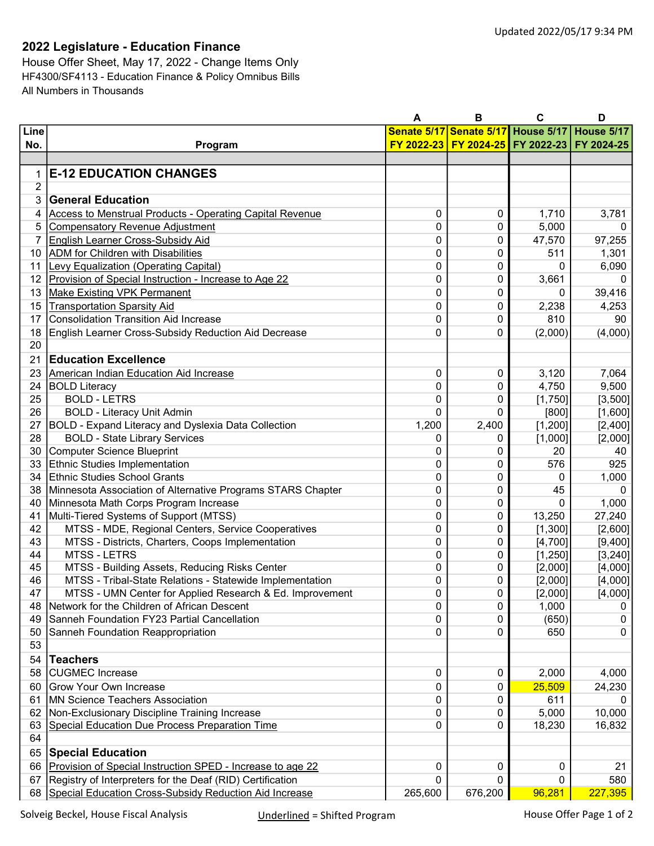## 2022 Legislature - Education Finance

House Offer Sheet, May 17, 2022 - Change Items Only HF4300/SF4113 - Education Finance & Policy Omnibus Bills All Numbers in Thousands

|                |                                                                                                 | Α       | в                                  | C        | D          |
|----------------|-------------------------------------------------------------------------------------------------|---------|------------------------------------|----------|------------|
| Line           |                                                                                                 |         | Senate 5/17 Senate 5/17 House 5/17 |          | House 5/17 |
| No.            | Program                                                                                         |         | FY 2022-23 FY 2024-25 FY 2022-23   |          | FY 2024-25 |
|                |                                                                                                 |         |                                    |          |            |
| 1              | <b>E-12 EDUCATION CHANGES</b>                                                                   |         |                                    |          |            |
| $\overline{2}$ |                                                                                                 |         |                                    |          |            |
| 3              | <b>General Education</b>                                                                        |         |                                    |          |            |
| 4              | Access to Menstrual Products - Operating Capital Revenue                                        | 0       | 0                                  | 1,710    | 3,781      |
| 5              | <b>Compensatory Revenue Adjustment</b>                                                          | 0       | 0                                  | 5,000    | 0          |
| 7              | <b>English Learner Cross-Subsidy Aid</b>                                                        | 0       | 0                                  | 47,570   | 97,255     |
| 10             | <b>ADM</b> for Children with Disabilities                                                       | 0       | 0                                  | 511      | 1,301      |
| 11             | <b>Levy Equalization (Operating Capital)</b>                                                    | 0       | 0                                  | 0        | 6,090      |
| 12             | Provision of Special Instruction - Increase to Age 22                                           | 0       | 0                                  | 3,661    | 0          |
| 13             | <b>Make Existing VPK Permanent</b>                                                              | 0       | 0                                  | 0        | 39,416     |
| 15             | <b>Transportation Sparsity Aid</b>                                                              | 0       | 0                                  | 2,238    | 4,253      |
| 17             | <b>Consolidation Transition Aid Increase</b>                                                    | 0       | 0                                  | 810      | 90         |
| 18             | English Learner Cross-Subsidy Reduction Aid Decrease                                            | 0       | 0                                  | (2,000)  | (4,000)    |
| 20             |                                                                                                 |         |                                    |          |            |
| 21             | <b>Education Excellence</b>                                                                     |         |                                    |          |            |
| 23             | American Indian Education Aid Increase                                                          | 0       | 0                                  | 3,120    | 7,064      |
| 24             | <b>BOLD Literacy</b>                                                                            | 0       | 0                                  | 4,750    | 9,500      |
| 25             | <b>BOLD - LETRS</b>                                                                             | 0       | 0                                  | [1,750]  | [3,500]    |
| 26             | <b>BOLD - Literacy Unit Admin</b>                                                               | 0       | 0                                  | [800]    | [1,600]    |
| 27             | <b>BOLD - Expand Literacy and Dyslexia Data Collection</b>                                      | 1,200   | 2,400                              | [1, 200] | [2,400]    |
| 28             | <b>BOLD - State Library Services</b>                                                            | 0       | 0                                  | [1,000]  | [2,000]    |
| 30             | Computer Science Blueprint                                                                      | 0       | 0                                  | 20       | 40         |
| 33             | Ethnic Studies Implementation                                                                   | 0       | 0                                  | 576      | 925        |
| 34             | Ethnic Studies School Grants                                                                    | 0       | 0                                  | 0        | 1,000      |
| 38             | Minnesota Association of Alternative Programs STARS Chapter                                     | 0       | 0                                  | 45       | $\Omega$   |
| 40             | Minnesota Math Corps Program Increase                                                           | 0       | 0                                  | 0        | 1,000      |
| 41             | Multi-Tiered Systems of Support (MTSS)                                                          | 0       | 0                                  | 13,250   | 27,240     |
| 42             | MTSS - MDE, Regional Centers, Service Cooperatives                                              | 0       | 0                                  | [1,300]  | [2,600]    |
| 43             | MTSS - Districts, Charters, Coops Implementation                                                | 0       | 0                                  | [4,700]  | [9,400]    |
| 44             | <b>MTSS - LETRS</b>                                                                             | 0       | 0                                  | [1, 250] | [3, 240]   |
| 45             | MTSS - Building Assets, Reducing Risks Center                                                   | 0       | 0                                  | [2,000]  | [4,000]    |
| 46             | MTSS - Tribal-State Relations - Statewide Implementation                                        | 0       | 0                                  | [2,000]  | [4,000]    |
| 47             | MTSS - UMN Center for Applied Research & Ed. Improvement                                        | 0       | 0                                  | [2,000]  | [4,000]    |
| 48             | Network for the Children of African Descent                                                     | 0       | 0                                  | 1,000    | 0          |
| 49             | Sanneh Foundation FY23 Partial Cancellation                                                     | 0       | 0                                  | (650)    | 0          |
| 50             | Sanneh Foundation Reappropriation                                                               | 0       | 0                                  | 650      | 0          |
| 53             |                                                                                                 |         |                                    |          |            |
| 54             | <b>Teachers</b>                                                                                 |         |                                    |          |            |
| 58             | <b>CUGMEC</b> Increase                                                                          | 0       | 0                                  | 2,000    | 4,000      |
| 60             | <b>Grow Your Own Increase</b>                                                                   | 0       | 0                                  | 25,509   | 24,230     |
| 61             | MN Science Teachers Association                                                                 | 0       | 0                                  | 611      | 0          |
| 62<br>63       | Non-Exclusionary Discipline Training Increase<br>Special Education Due Process Preparation Time | 0<br>0  | 0<br>0                             | 5,000    | 10,000     |
| 64             |                                                                                                 |         |                                    | 18,230   | 16,832     |
|                |                                                                                                 |         |                                    |          |            |
| 65             | <b>Special Education</b>                                                                        |         |                                    |          | 21         |
| 66             | Provision of Special Instruction SPED - Increase to age 22                                      | 0       | 0                                  | 0        |            |
| 67             | Registry of Interpreters for the Deaf (RID) Certification                                       | 0       | 0                                  | 0        | 580        |
| 68             | Special Education Cross-Subsidy Reduction Aid Increase                                          | 265,600 | 676,200                            | 96,281   | 227,395    |